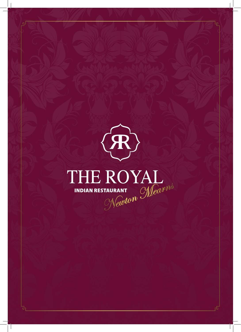

ச

 $\mathcal{L}$